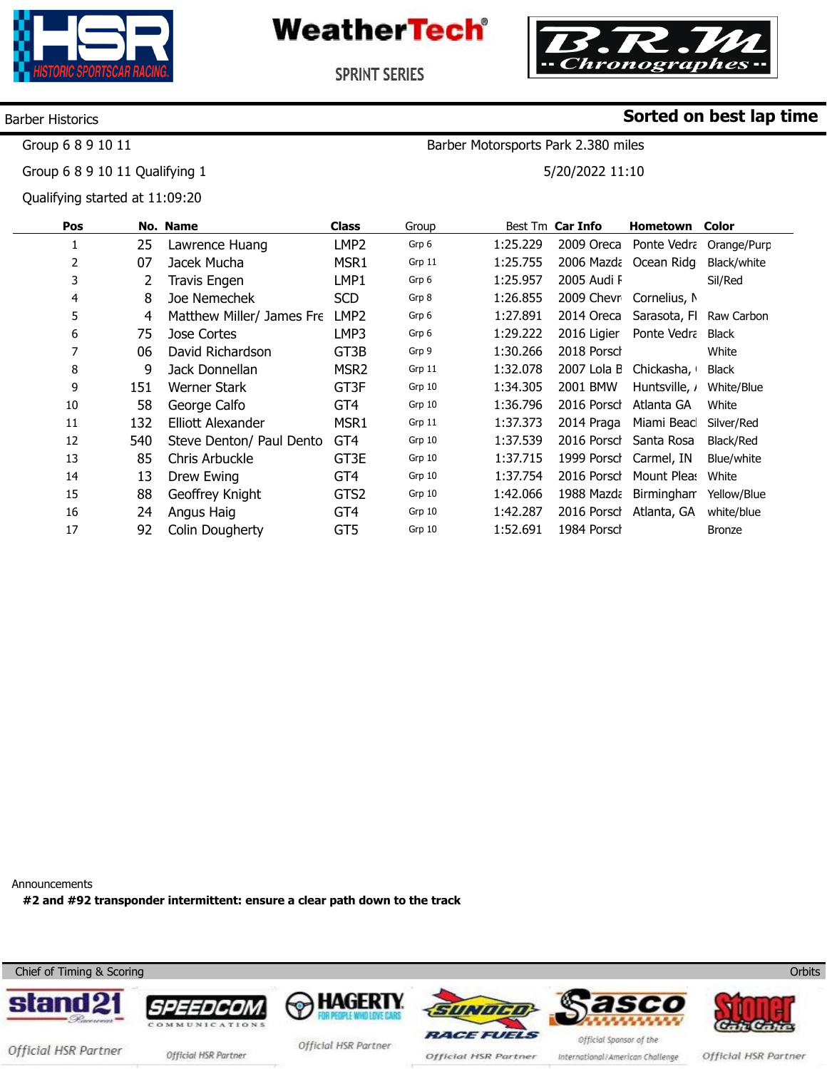



Barber Motorsports Park 2.380 miles

5/20/2022 11:10

**Sorted on best lap time**

**SPRINT SERIES** 

#### Barber Historics

Group 6 8 9 10 11

Group 6 8 9 10 11 Qualifying 1

Qualifying started at 11:09:20

| Pos |     | No. Name                  | <b>Class</b>     | Group  |          | Best Tm Car Info | Hometown              | Color         |
|-----|-----|---------------------------|------------------|--------|----------|------------------|-----------------------|---------------|
| 1   | 25  | Lawrence Huang            | LMP2             | Grp 6  | 1:25.229 | 2009 Oreca       | Ponte Vedra           | Orange/Purp   |
| 2   | 07  | Jacek Mucha               | MSR1             | Grp 11 | 1:25.755 |                  | 2006 Mazda Ocean Ridg | Black/white   |
| 3   | 2   | <b>Travis Engen</b>       | LMP1             | Grp 6  | 1:25.957 | 2005 Audi F      |                       | Sil/Red       |
| 4   | 8   | Joe Nemechek              | <b>SCD</b>       | Grp 8  | 1:26.855 | 2009 Chevr       | Cornelius, N          |               |
| 5   | 4   | Matthew Miller/ James Fre | LMP <sub>2</sub> | Grp 6  | 1:27.891 | 2014 Oreca       | Sarasota, FI          | Raw Carbon    |
| 6   | 75  | Jose Cortes               | LMP3             | Grp 6  | 1:29.222 | 2016 Ligier      | Ponte Vedra           | <b>Black</b>  |
| 7   | 06  | David Richardson          | GT3B             | Grp 9  | 1:30.266 | 2018 Porsch      |                       | White         |
| 8   | 9   | Jack Donnellan            | MSR <sub>2</sub> | Grp 11 | 1:32.078 | 2007 Lola B      | Chickasha,            | <b>Black</b>  |
| 9   | 151 | Werner Stark              | GT3F             | Grp 10 | 1:34.305 | 2001 BMW         | Huntsville, <i>i</i>  | White/Blue    |
| 10  | 58  | George Calfo              | GT4              | Grp 10 | 1:36.796 | 2016 Porsch      | Atlanta GA            | White         |
| 11  | 132 | Elliott Alexander         | MSR1             | Grp 11 | 1:37.373 | 2014 Praga       | Miami Beac            | Silver/Red    |
| 12  | 540 | Steve Denton/ Paul Dento  | GT4              | Grp 10 | 1:37.539 | 2016 Porsch      | Santa Rosa            | Black/Red     |
| 13  | 85  | Chris Arbuckle            | GT3E             | Grp 10 | 1:37.715 | 1999 Porsch      | Carmel, IN            | Blue/white    |
| 14  | 13  | Drew Ewing                | GT4              | Grp 10 | 1:37.754 | 2016 Porsch      | Mount Pleas           | White         |
| 15  | 88  | Geoffrey Knight           | GTS2             | Grp 10 | 1:42.066 | 1988 Mazda       | Birmingham            | Yellow/Blue   |
| 16  | 24  | Angus Haig                | GT <sub>4</sub>  | Grp 10 | 1:42.287 | 2016 Porsch      | Atlanta, GA           | white/blue    |
| 17  | 92  | Colin Dougherty           | GT5              | Grp 10 | 1:52.691 | 1984 Porsch      |                       | <b>Bronze</b> |
|     |     |                           |                  |        |          |                  |                       |               |

Announcements

**#2 and #92 transponder intermittent: ensure a clear path down to the track** 



International/American Challenge

Official HSR Partner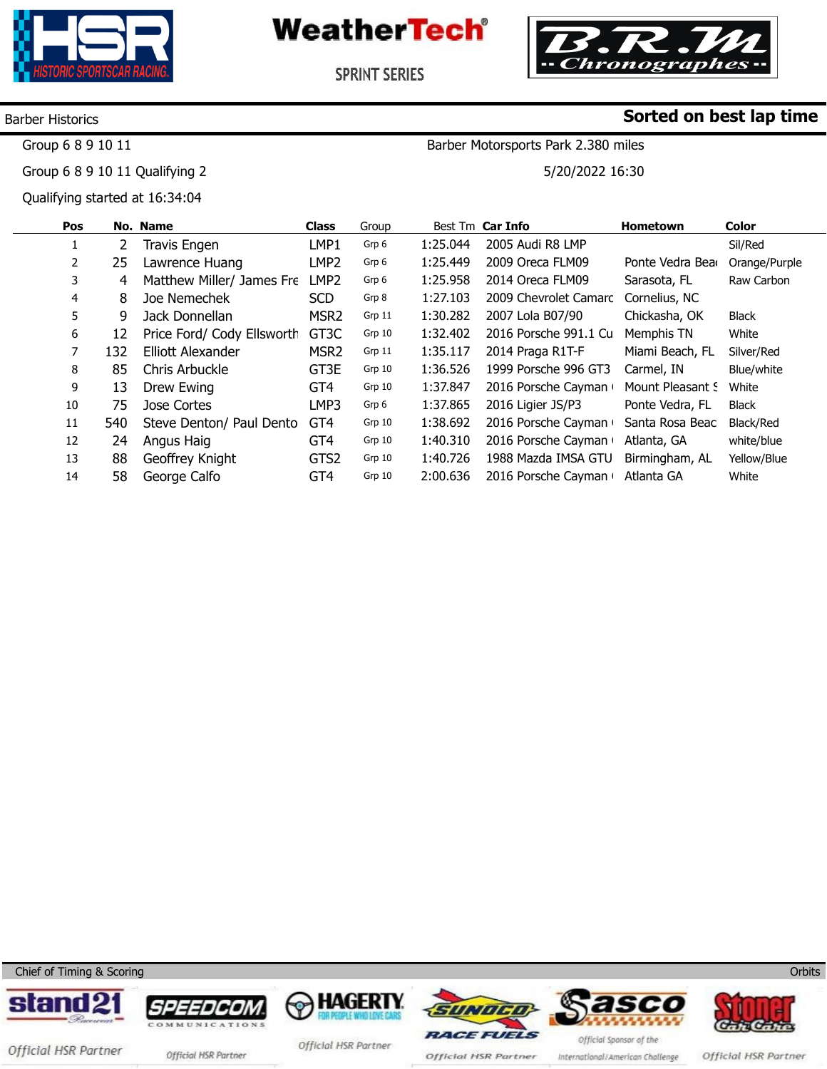



Barber Motorsports Park 2.380 miles

5/20/2022 16:30

**Sorted on best lap time**

**SPRINT SERIES** 

### Barber Historics

Group 6 8 9 10 11

Group 6 8 9 10 11 Qualifying 2

Qualifying started at 16:34:04

| Pos |     | <b>No. Name</b>            | <b>Class</b>      | Group  |          | Best Tm Car Info      | <b>Hometown</b>  | <b>Color</b>  |
|-----|-----|----------------------------|-------------------|--------|----------|-----------------------|------------------|---------------|
|     | 2   | <b>Travis Engen</b>        | LMP1              | Grp 6  | 1:25.044 | 2005 Audi R8 LMP      |                  | Sil/Red       |
| 2   | 25  | Lawrence Huang             | LMP <sub>2</sub>  | Grp 6  | 1:25.449 | 2009 Oreca FLM09      | Ponte Vedra Bear | Orange/Purple |
| 3   | 4   | Matthew Miller/ James Fre  | LMP <sub>2</sub>  | Grp 6  | 1:25.958 | 2014 Oreca FLM09      | Sarasota, FL     | Raw Carbon    |
| 4   | 8   | Joe Nemechek               | <b>SCD</b>        | Grp 8  | 1:27.103 | 2009 Chevrolet Camarc | Cornelius, NC    |               |
| 5   | 9   | Jack Donnellan             | MSR <sub>2</sub>  | Grp 11 | 1:30.282 | 2007 Lola B07/90      | Chickasha, OK    | <b>Black</b>  |
| 6   | 12  | Price Ford/ Cody Ellsworth | GT <sub>3</sub> C | Grp 10 | 1:32.402 | 2016 Porsche 991.1 Cu | Memphis TN       | White         |
| 7   | 132 | Elliott Alexander          | MSR <sub>2</sub>  | Grp 11 | 1:35.117 | 2014 Praga R1T-F      | Miami Beach, FL  | Silver/Red    |
| 8   | 85  | Chris Arbuckle             | GT3E              | Grp 10 | 1:36.526 | 1999 Porsche 996 GT3  | Carmel, IN       | Blue/white    |
| 9   | 13  | Drew Ewing                 | GT4               | Grp 10 | 1:37.847 | 2016 Porsche Cayman   | Mount Pleasant S | White         |
| 10  | 75  | Jose Cortes                | LMP3              | Grp 6  | 1:37.865 | 2016 Ligier JS/P3     | Ponte Vedra, FL  | <b>Black</b>  |
| 11  | 540 | Steve Denton/ Paul Dento   | GT4               | Grp 10 | 1:38.692 | 2016 Porsche Cayman   | Santa Rosa Beacl | Black/Red     |
| 12  | 24  | Angus Haig                 | GT <sub>4</sub>   | Grp 10 | 1:40.310 | 2016 Porsche Cayman   | Atlanta, GA      | white/blue    |
| 13  | 88  | Geoffrey Knight            | GTS2              | Grp 10 | 1:40.726 | 1988 Mazda IMSA GTU   | Birmingham, AL   | Yellow/Blue   |
| 14  | 58  | George Calfo               | GT4               | Grp 10 | 2:00.636 | 2016 Porsche Cayman   | Atlanta GA       | White         |

Chief of Timing & Scoring













Official HSR Partner official HSR Partner

Official HSR Partner

Official HSR Partner

International/American Challenge

Official HSR Partner

**Orbits**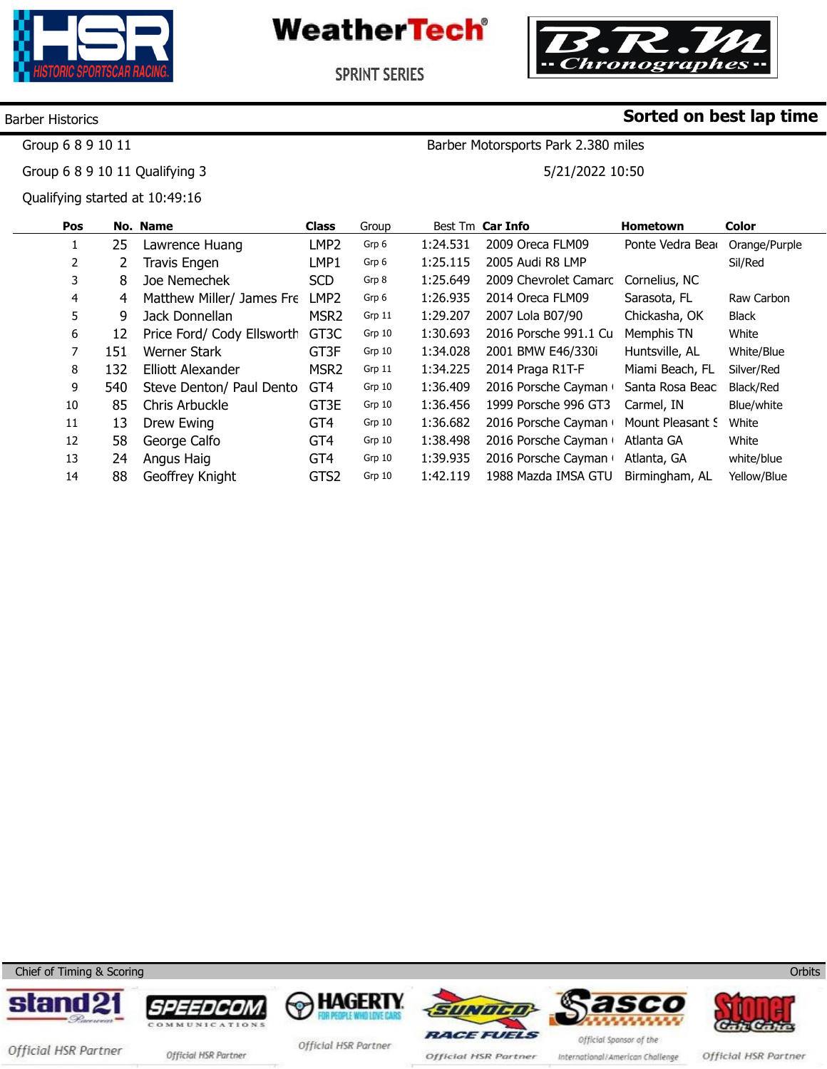



Barber Motorsports Park 2.380 miles

5/21/2022 10:50

**SPRINT SERIES** 

#### Barber Historics

Group 6 8 9 10 11

Group 6 8 9 10 11 Qualifying 3

Qualifying started at 10:49:16

| Pos            |     | No. Name                   | <b>Class</b>      | Group  |          | Best Tm Car Info      | <b>Hometown</b>  | <b>Color</b>  |
|----------------|-----|----------------------------|-------------------|--------|----------|-----------------------|------------------|---------------|
|                | 25  | Lawrence Huang             | LMP <sub>2</sub>  | Grp 6  | 1:24.531 | 2009 Oreca FLM09      | Ponte Vedra Bear | Orange/Purple |
| $\overline{2}$ |     | Travis Engen               | LMP1              | Grp 6  | 1:25.115 | 2005 Audi R8 LMP      |                  | Sil/Red       |
| 3              | 8   | Joe Nemechek               | <b>SCD</b>        | Grp 8  | 1:25.649 | 2009 Chevrolet Camarc | Cornelius, NC    |               |
| 4              | 4   | Matthew Miller/ James Fre  | LMP <sub>2</sub>  | Grp 6  | 1:26.935 | 2014 Oreca FLM09      | Sarasota, FL     | Raw Carbon    |
| 5.             | 9   | Jack Donnellan             | MSR <sub>2</sub>  | Grp 11 | 1:29.207 | 2007 Lola B07/90      | Chickasha, OK    | <b>Black</b>  |
| 6              | 12  | Price Ford/ Cody Ellsworth | GT <sub>3</sub> C | Grp 10 | 1:30.693 | 2016 Porsche 991.1 Cu | Memphis TN       | White         |
| 7              | 151 | Werner Stark               | GT3F              | Grp 10 | 1:34.028 | 2001 BMW E46/330i     | Huntsville, AL   | White/Blue    |
| 8              | 132 | Elliott Alexander          | MSR <sub>2</sub>  | Grp 11 | 1:34.225 | 2014 Praga R1T-F      | Miami Beach, FL  | Silver/Red    |
| 9              | 540 | Steve Denton/ Paul Dento   | GT <sub>4</sub>   | Grp 10 | 1:36.409 | 2016 Porsche Cayman   | Santa Rosa Beacl | Black/Red     |
| 10             | 85  | Chris Arbuckle             | GT3E              | Grp 10 | 1:36.456 | 1999 Porsche 996 GT3  | Carmel, IN       | Blue/white    |
| 11             | 13  | Drew Ewing                 | GT4               | Grp 10 | 1:36.682 | 2016 Porsche Cayman   | Mount Pleasant S | White         |
| 12             | 58  | George Calfo               | GT <sub>4</sub>   | Grp 10 | 1:38.498 | 2016 Porsche Cayman   | Atlanta GA       | White         |
| 13             | 24  | Angus Haig                 | GT4               | Grp 10 | 1:39.935 | 2016 Porsche Cayman   | Atlanta, GA      | white/blue    |
| 14             | 88  | Geoffrey Knight            | GTS2              | Grp 10 | 1:42.119 | 1988 Mazda IMSA GTU   | Birmingham, AL   | Yellow/Blue   |

Chief of Timing & Scoring















Official HSR Partner official HSR Partner

Official HSR Partner

Official HSR Partner

International/American Challenge

Official HSR Partner

**Orbits** 

**Sorted on best lap time**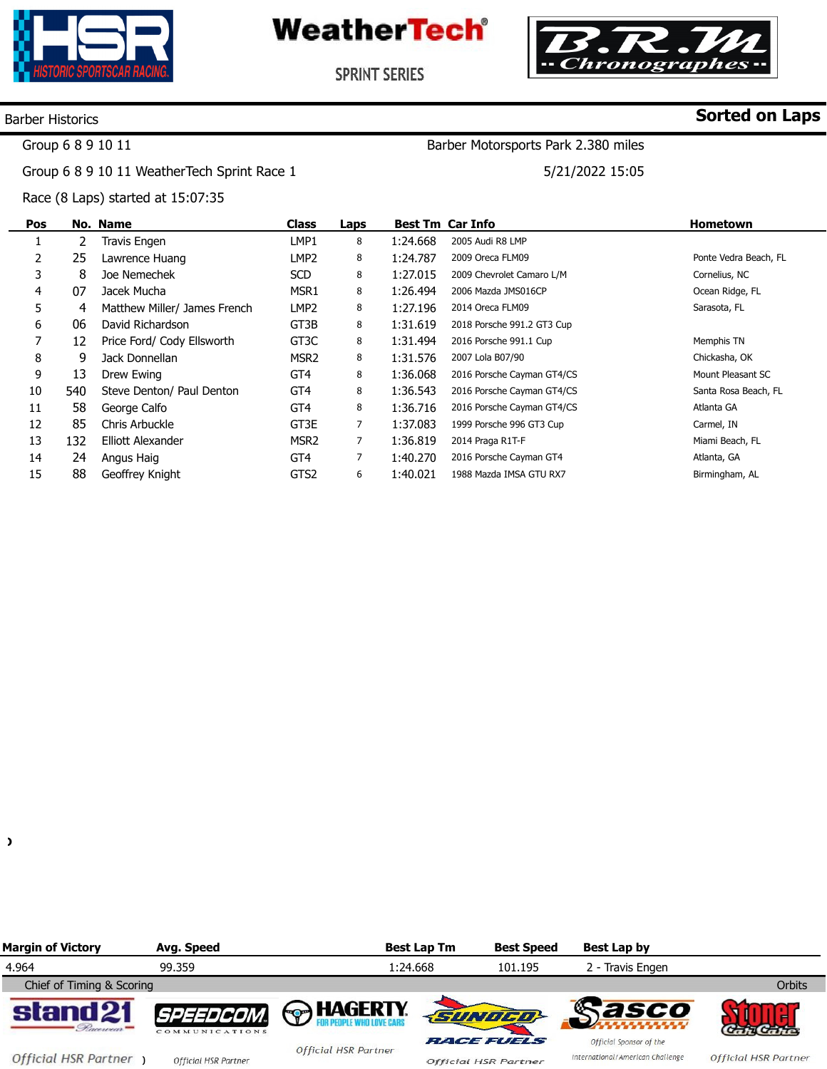

**WeatherTech**<sup>®</sup>



**SPRINT SERIES** 

#### Barber Historics

## **Sorted on Laps**

Group 6 8 9 10 11

Group 6 8 9 10 11 WeatherTech Sprint Race 1

Race (8 Laps) started at 15:07:35

5/21/2022 15:05

Barber Motorsports Park 2.380 miles

**Pos**  1 2 3 4 5 6 7 8 9 10 11 12 13 14 15 **No. Name**  2 25 8 07 4 06 12 9 13 540 58 85 132 24 88 Travis Engen Lawrence Huang Joe Nemechek Jacek Mucha Matthew Miller/ James French David Richardson Price Ford/ Cody Ellsworth Jack Donnellan Drew Ewing Steve Denton/ Paul Denton George Calfo Chris Arbuckle Elliott Alexander Angus Haig Geoffrey Knight **Class**  LMP1 LMP2 SCD MSR1 LMP2 GT3B GT3C MSR2 GT4 GT4 GT4 GT3E MSR2 GT4 GTS2 **Laps**  8 8 8 8 8 8 8 8 8 8 8 7 7 7 6 **Best Tm Car Info**  1:24.668 1:24.787 1:27.015 1:26.494 1:27.196 1:31.619 1:31.494 1:31.576 1:36.068 1:36.543 1:36.716 1:37.083 1:36.819 1:40.270 1:40.021 2005 Audi R8 LMP 2009 Oreca FLM09 2009 Chevrolet Camaro L/M 2006 Mazda JMS016CP 2014 Oreca FLM09 2018 Porsche 991.2 GT3 Cup 2016 Porsche 991.1 Cup 2007 Lola B07/90 2016 Porsche Cayman GT4/CS 2016 Porsche Cayman GT4/CS 2016 Porsche Cayman GT4/CS 1999 Porsche 996 GT3 Cup 2014 Praga R1T-F 2016 Porsche Cayman GT4 1988 Mazda IMSA GTU RX7 **Hometown**  Ponte Vedra Beach, FL Cornelius, NC Ocean Ridge, FL Sarasota, FL Memphis TN Chickasha, OK Mount Pleasant SC Santa Rosa Beach, FL Atlanta GA Carmel, IN Miami Beach, FL Atlanta, GA Birmingham, AL

 $\lambda$